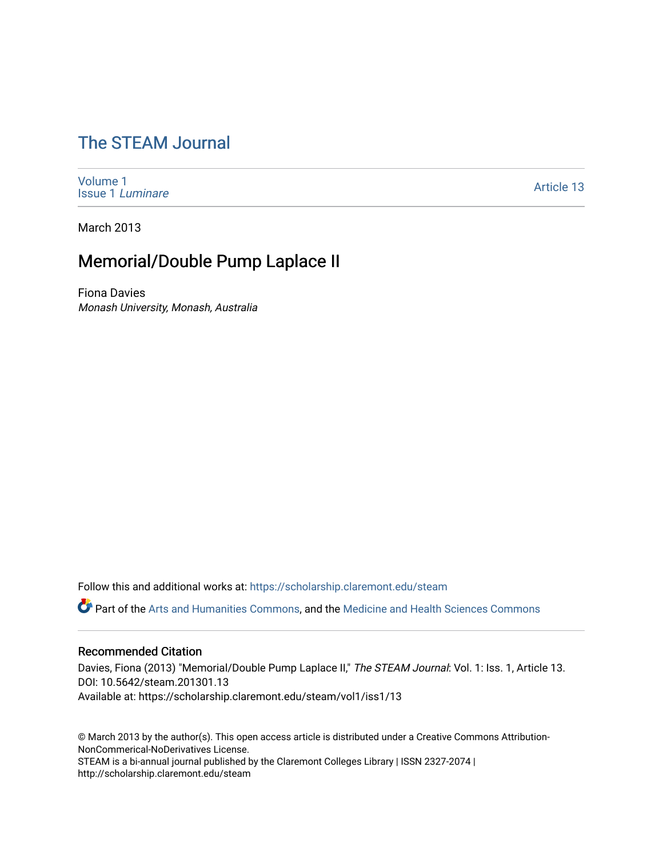# [The STEAM Journal](https://scholarship.claremont.edu/steam)

[Volume 1](https://scholarship.claremont.edu/steam/vol1) [Issue 1](https://scholarship.claremont.edu/steam/vol1/iss1) Luminare

[Article 13](https://scholarship.claremont.edu/steam/vol1/iss1/13) 

March 2013

## Memorial/Double Pump Laplace II

Fiona Davies Monash University, Monash, Australia

Follow this and additional works at: [https://scholarship.claremont.edu/steam](https://scholarship.claremont.edu/steam?utm_source=scholarship.claremont.edu%2Fsteam%2Fvol1%2Fiss1%2F13&utm_medium=PDF&utm_campaign=PDFCoverPages) 

Part of the [Arts and Humanities Commons,](https://network.bepress.com/hgg/discipline/438?utm_source=scholarship.claremont.edu%2Fsteam%2Fvol1%2Fiss1%2F13&utm_medium=PDF&utm_campaign=PDFCoverPages) and the [Medicine and Health Sciences Commons](https://network.bepress.com/hgg/discipline/648?utm_source=scholarship.claremont.edu%2Fsteam%2Fvol1%2Fiss1%2F13&utm_medium=PDF&utm_campaign=PDFCoverPages)

#### Recommended Citation

Davies, Fiona (2013) "Memorial/Double Pump Laplace II," The STEAM Journal: Vol. 1: Iss. 1, Article 13. DOI: 10.5642/steam.201301.13 Available at: https://scholarship.claremont.edu/steam/vol1/iss1/13

© March 2013 by the author(s). This open access article is distributed under a Creative Commons Attribution-NonCommerical-NoDerivatives License. STEAM is a bi-annual journal published by the Claremont Colleges Library | ISSN 2327-2074 | http://scholarship.claremont.edu/steam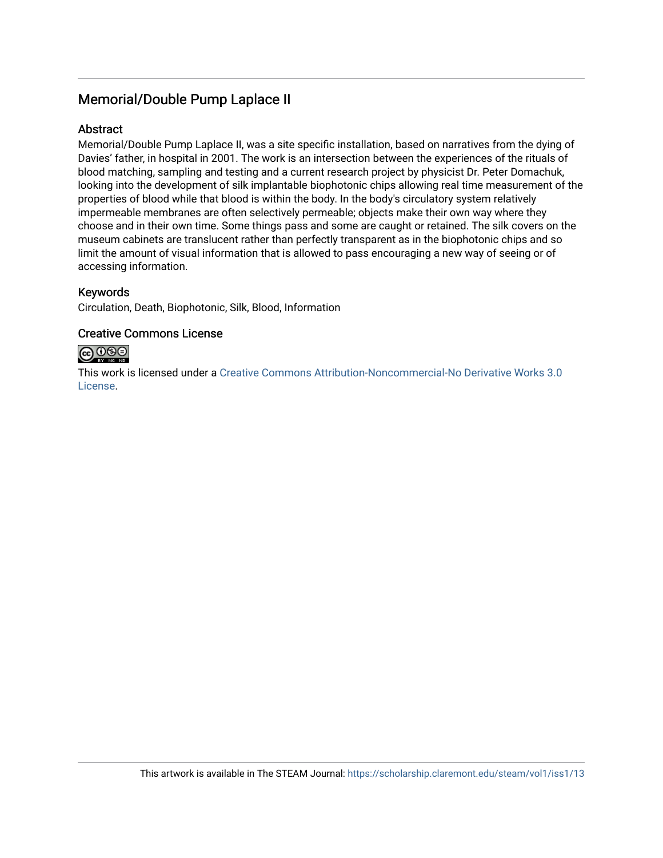### Memorial/Double Pump Laplace II

#### **Abstract**

Memorial/Double Pump Laplace II, was a site specific installation, based on narratives from the dying of Davies' father, in hospital in 2001. The work is an intersection between the experiences of the rituals of blood matching, sampling and testing and a current research project by physicist Dr. Peter Domachuk, looking into the development of silk implantable biophotonic chips allowing real time measurement of the properties of blood while that blood is within the body. In the body's circulatory system relatively impermeable membranes are often selectively permeable; objects make their own way where they choose and in their own time. Some things pass and some are caught or retained. The silk covers on the museum cabinets are translucent rather than perfectly transparent as in the biophotonic chips and so limit the amount of visual information that is allowed to pass encouraging a new way of seeing or of accessing information.

#### Keywords

Circulation, Death, Biophotonic, Silk, Blood, Information

#### Creative Commons License



This work is licensed under a [Creative Commons Attribution-Noncommercial-No Derivative Works 3.0](https://creativecommons.org/licenses/by-nc-nd/3.0/) [License](https://creativecommons.org/licenses/by-nc-nd/3.0/).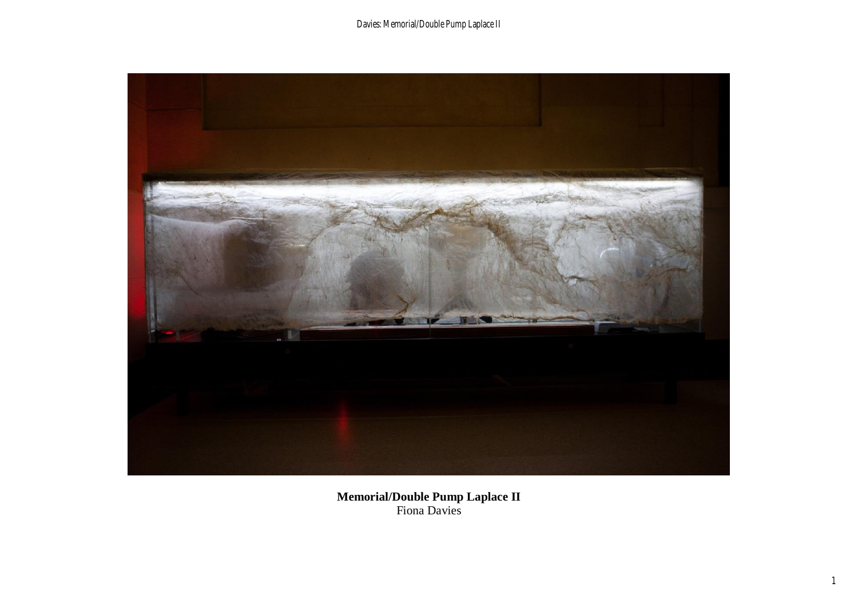Davies: Memorial/Double Pump Laplace II



**Memorial/Double Pump Laplace II** Fiona Davies